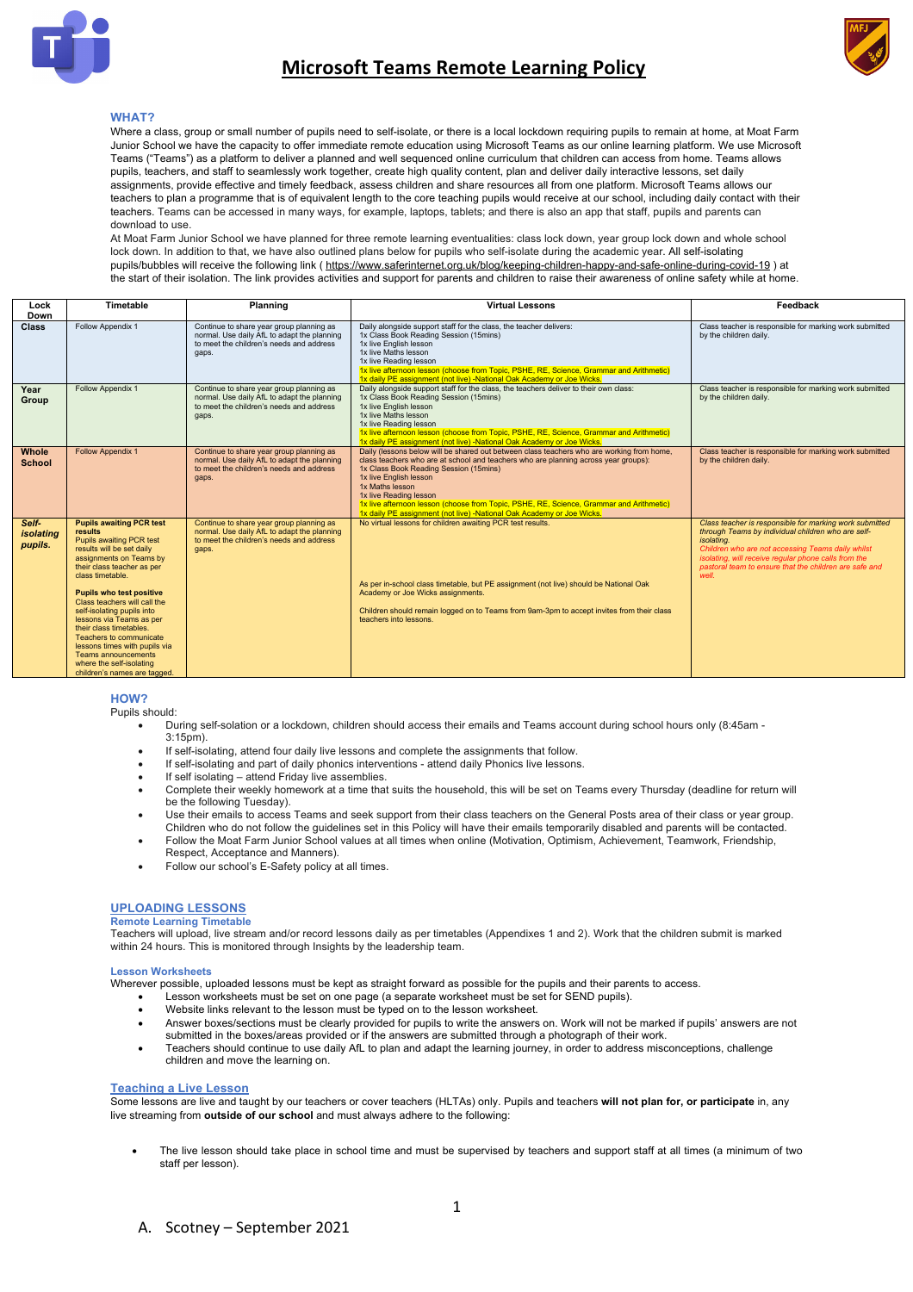



### **WHAT?**

Where a class, group or small number of pupils need to self-isolate, or there is a local lockdown requiring pupils to remain at home, at Moat Farm Junior School we have the capacity to offer immediate remote education using Microsoft Teams as our online learning platform. We use Microsoft Teams ("Teams") as a platform to deliver a planned and well sequenced online curriculum that children can access from home. Teams allows pupils, teachers, and staff to seamlessly work together, create high quality content, plan and deliver daily interactive lessons, set daily assignments, provide effective and timely feedback, assess children and share resources all from one platform. Microsoft Teams allows our teachers to plan a programme that is of equivalent length to the core teaching pupils would receive at our school, including daily contact with their teachers. Teams can be accessed in many ways, for example, laptops, tablets; and there is also an app that staff, pupils and parents can download to use.

At Moat Farm Junior School we have planned for three remote learning eventualities: class lock down, year group lock down and whole school lock down. In addition to that, we have also outlined plans below for pupils who self-isolate during the academic year. All self-isolating pupils/bubbles will receive the following link ( https://www.saferinternet.org.uk/blog/keeping-children-happy-and-safe-online-during-covid-19 ) at the start of their isolation. The link provides activities and support for parents and children to raise their awareness of online safety while at home.

| Lock<br>Down                  | Timetable                                                                                                                                                                                                                                                                                                                                                                                                                                                                                             | <b>Planning</b>                                                                                                                              | <b>Virtual Lessons</b>                                                                                                                                                                                                                                                                                                                                                                                                                                                | Feedback                                                                                                                                                                                                                                                                                                    |
|-------------------------------|-------------------------------------------------------------------------------------------------------------------------------------------------------------------------------------------------------------------------------------------------------------------------------------------------------------------------------------------------------------------------------------------------------------------------------------------------------------------------------------------------------|----------------------------------------------------------------------------------------------------------------------------------------------|-----------------------------------------------------------------------------------------------------------------------------------------------------------------------------------------------------------------------------------------------------------------------------------------------------------------------------------------------------------------------------------------------------------------------------------------------------------------------|-------------------------------------------------------------------------------------------------------------------------------------------------------------------------------------------------------------------------------------------------------------------------------------------------------------|
| <b>Class</b>                  | Follow Appendix 1                                                                                                                                                                                                                                                                                                                                                                                                                                                                                     | Continue to share year group planning as<br>normal. Use daily AfL to adapt the planning<br>to meet the children's needs and address<br>gaps. | Daily alongside support staff for the class, the teacher delivers:<br>1x Class Book Reading Session (15mins)<br>1x live English lesson<br>1x live Maths lesson<br>1x live Reading lesson<br>1x live afternoon lesson (choose from Topic, PSHE, RE, Science, Grammar and Arithmetic)<br>1x daily PE assignment (not live) -National Oak Academy or Joe Wicks.                                                                                                          | Class teacher is responsible for marking work submitted<br>by the children daily.                                                                                                                                                                                                                           |
| Year<br>Group                 | Follow Appendix 1                                                                                                                                                                                                                                                                                                                                                                                                                                                                                     | Continue to share year group planning as<br>normal. Use daily AfL to adapt the planning<br>to meet the children's needs and address<br>gaps. | Daily alongside support staff for the class, the teachers deliver to their own class:<br>1x Class Book Reading Session (15mins)<br>1x live English lesson<br>1x live Maths lesson<br>1x live Reading lesson<br>1x live afternoon lesson (choose from Topic, PSHE, RE, Science, Grammar and Arithmetic)<br>1x daily PE assignment (not live) -National Oak Academy or Joe Wicks.                                                                                       | Class teacher is responsible for marking work submitted<br>by the children daily.                                                                                                                                                                                                                           |
| Whole<br><b>School</b>        | <b>Follow Appendix 1</b>                                                                                                                                                                                                                                                                                                                                                                                                                                                                              | Continue to share year group planning as<br>normal. Use daily AfL to adapt the planning<br>to meet the children's needs and address<br>gaps. | Daily (lessons below will be shared out between class teachers who are working from home,<br>class teachers who are at school and teachers who are planning across year groups):<br>1x Class Book Reading Session (15mins)<br>1x live English lesson<br>1x Maths lesson<br>1x live Reading lesson<br>1x live afternoon lesson (choose from Topic, PSHE, RE, Science, Grammar and Arithmetic)<br>1x daily PE assignment (not live) -National Oak Academy or Joe Wicks. | Class teacher is responsible for marking work submitted<br>by the children daily.                                                                                                                                                                                                                           |
| Self-<br>isolating<br>pupils. | <b>Pupils awaiting PCR test</b><br>results<br><b>Pupils awaiting PCR test</b><br>results will be set daily<br>assignments on Teams by<br>their class teacher as per<br>class timetable.<br><b>Pupils who test positive</b><br>Class teachers will call the<br>self-isolating pupils into<br>lessons via Teams as per<br>their class timetables.<br>Teachers to communicate<br>lessons times with pupils via<br><b>Teams announcements</b><br>where the self-isolating<br>children's names are tagged. | Continue to share year group planning as<br>normal. Use daily AfL to adapt the planning<br>to meet the children's needs and address<br>gaps. | No virtual lessons for children awaiting PCR test results.<br>As per in-school class timetable, but PE assignment (not live) should be National Oak<br>Academy or Joe Wicks assignments.<br>Children should remain logged on to Teams from 9am-3pm to accept invites from their class<br>teachers into lessons.                                                                                                                                                       | Class teacher is responsible for marking work submitted<br>through Teams by individual children who are self-<br>isolating.<br>Children who are not accessing Teams daily whilst<br>isolating, will receive regular phone calls from the<br>pastoral team to ensure that the children are safe and<br>well. |

**HOW?**

Pupils should:

- During self-solation or a lockdown, children should access their emails and Teams account during school hours only (8:45am  $3.15$ pm).
- If self-isolating, attend four daily live lessons and complete the assignments that follow.
- If self-isolating and part of daily phonics interventions attend daily Phonics live lessons.
- If self isolating attend Friday live assemblies.
- Complete their weekly homework at a time that suits the household, this will be set on Teams every Thursday (deadline for return will be the following Tuesday).
- Use their emails to access Teams and seek support from their class teachers on the General Posts area of their class or year group. Children who do not follow the guidelines set in this Policy will have their emails temporarily disabled and parents will be contacted.
- Follow the Moat Farm Junior School values at all times when online (Motivation, Optimism, Achievement, Teamwork, Friendship, Respect, Acceptance and Manners).
- Follow our school's E-Safety policy at all times.

### **UPLOADING LESSONS**

### **Remote Learning Timetable**

Teachers will upload, live stream and/or record lessons daily as per timetables (Appendixes 1 and 2). Work that the children submit is marked within 24 hours. This is monitored through Insights by the leadership team.

### **Lesson Worksheets**

Wherever possible, uploaded lessons must be kept as straight forward as possible for the pupils and their parents to access.

- Lesson worksheets must be set on one page (a separate worksheet must be set for SEND pupils).
- Website links relevant to the lesson must be typed on to the lesson worksheet.
- Answer boxes/sections must be clearly provided for pupils to write the answers on. Work will not be marked if pupils' answers are not submitted in the boxes/areas provided or if the answers are submitted through a photograph of their work.
- Teachers should continue to use daily AfL to plan and adapt the learning journey, in order to address misconceptions, challenge children and move the learning on.

### **Teaching a Live Lesson**

Some lessons are live and taught by our teachers or cover teachers (HLTAs) only. Pupils and teachers will not plan for, or participate in, any live streaming from **outside of our school** and must always adhere to the following:

• The live lesson should take place in school time and must be supervised by teachers and support staff at all times (a minimum of two staff per lesson).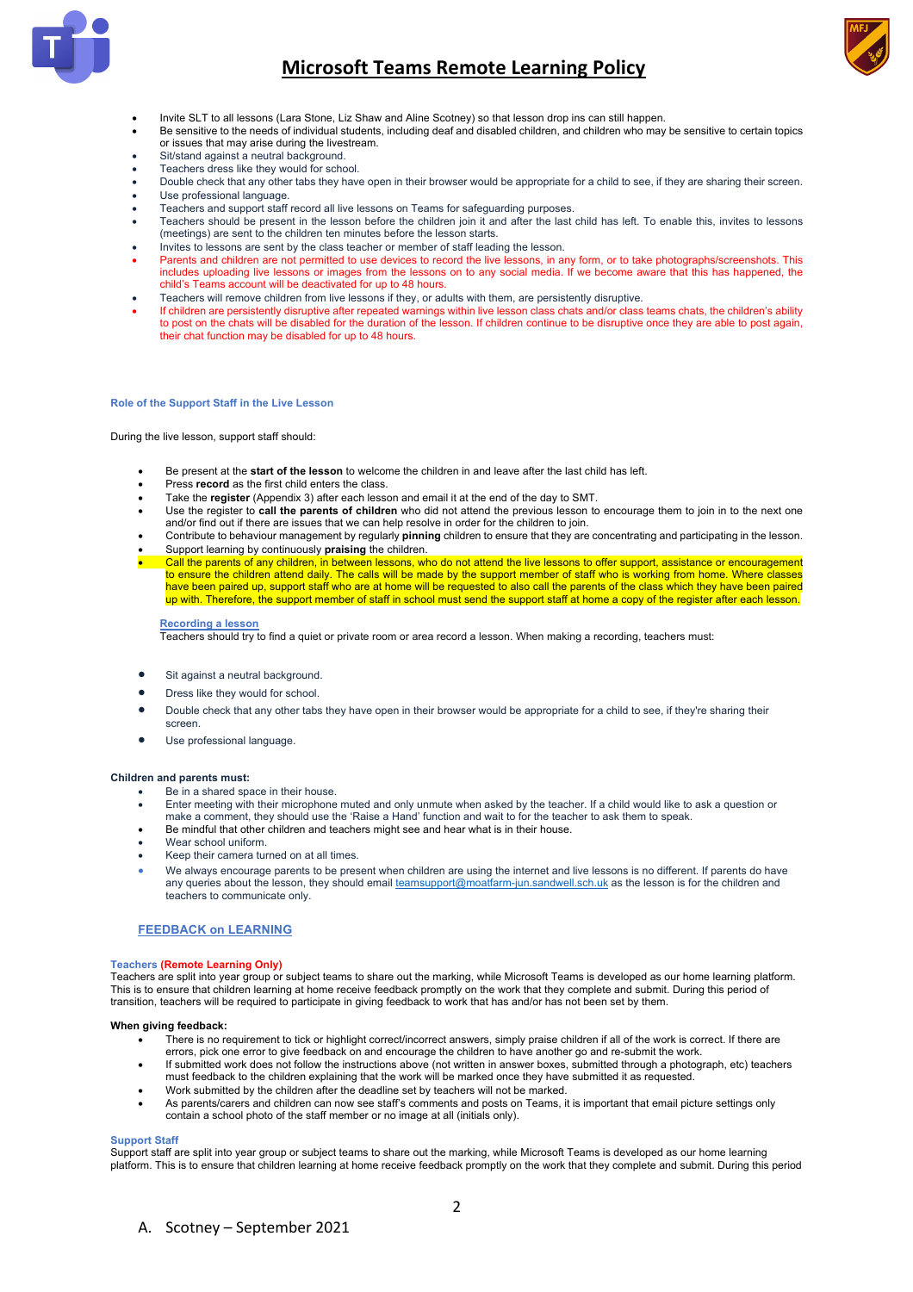

## **Microsoft Teams Remote Learning Policy**



- Invite SLT to all lessons (Lara Stone, Liz Shaw and Aline Scotney) so that lesson drop ins can still happen.
- Be sensitive to the needs of individual students, including deaf and disabled children, and children who may be sensitive to certain topics or issues that may arise during the livestream.
- Sit/stand against a neutral background.
- Teachers dress like they would for school.
- Double check that any other tabs they have open in their browser would be appropriate for a child to see, if they are sharing their screen. Use professional language.
- Teachers and support staff record all live lessons on Teams for safeguarding purposes.
- Teachers should be present in the lesson before the children join it and after the last child has left. To enable this, invites to lessons (meetings) are sent to the children ten minutes before the lesson starts.
- Invites to lessons are sent by the class teacher or member of staff leading the lesson.
- Parents and children are not permitted to use devices to record the live lessons, in any form, or to take photographs/screenshots. This includes uploading live lessons or images from the lessons on to any social media. If we become aware that this has happened, the child's Teams account will be deactivated for up to 48 hours.
- Teachers will remove children from live lessons if they, or adults with them, are persistently disruptive.
- If children are persistently disruptive after repeated warnings within live lesson class chats and/or class teams chats, the children's ability to post on the chats will be disabled for the duration of the lesson. If children continue to be disruptive once they are able to post again, their chat function may be disabled for up to 48 hours.

### **Role of the Support Staff in the Live Lesson**

During the live lesson, support staff should:

- Be present at the **start of the lesson** to welcome the children in and leave after the last child has left.
- Press **record** as the first child enters the class.
- Take the **register** (Appendix 3) after each lesson and email it at the end of the day to SMT.
- Use the register to **call the parents of children** who did not attend the previous lesson to encourage them to join in to the next one and/or find out if there are issues that we can help resolve in order for the children to join.
- Contribute to behaviour management by regularly **pinning** children to ensure that they are concentrating and participating in the lesson. • Support learning by continuously **praising** the children.
- Call the parents of any children, in between lessons, who do not attend the live lessons to offer support, assistance or encouragement to ensure the children attend daily. The calls will be made by the support member of staff who is working from home. Where classes<br>have been paired up, support staff who are at home will be requested to also call the paren up with. Therefore, the support member of staff in school must send the support staff at home a copy of the register after each lesson.

#### **Recording a lesson**

Teachers should try to find a quiet or private room or area record a lesson. When making a recording, teachers must:

- Sit against a neutral background.
- Dress like they would for school.
- Double check that any other tabs they have open in their browser would be appropriate for a child to see, if they're sharing their screen.
- Use professional language.

### **Children and parents must:**

- Be in a shared space in their house.
- Enter meeting with their microphone muted and only unmute when asked by the teacher. If a child would like to ask a question or make a comment, they should use the 'Raise a Hand' function and wait to for the teacher to ask them to speak.
- Be mindful that other children and teachers might see and hear what is in their house.
- Wear school uniform.
- Keep their camera turned on at all times.
- We always encourage parents to be present when children are using the internet and live lessons is no different. If parents do have any queries about the lesson, they should email teamsupport@moatfarm-jun.sandwell.sch.uk as the lesson is for the children and teachers to communicate only.

### **FEEDBACK on LEARNING**

### **Teachers (Remote Learning Only)**

Teachers are split into year group or subject teams to share out the marking, while Microsoft Teams is developed as our home learning platform. This is to ensure that children learning at home receive feedback promptly on the work that they complete and submit. During this period of transition, teachers will be required to participate in giving feedback to work that has and/or has not been set by them.

### **When giving feedback:**

- There is no requirement to tick or highlight correct/incorrect answers, simply praise children if all of the work is correct. If there are errors, pick one error to give feedback on and encourage the children to have ano
- If submitted work does not follow the instructions above (not written in answer boxes, submitted through a photograph, etc) teachers must feedback to the children explaining that the work will be marked once they have submitted it as requested.
- Work submitted by the children after the deadline set by teachers will not be marked.
- As parents/carers and children can now see staff's comments and posts on Teams, it is important that email picture settings only contain a school photo of the staff member or no image at all (initials only).

### **Support Staff**

Support staff are split into year group or subject teams to share out the marking, while Microsoft Teams is developed as our home learning platform. This is to ensure that children learning at home receive feedback promptly on the work that they complete and submit. During this period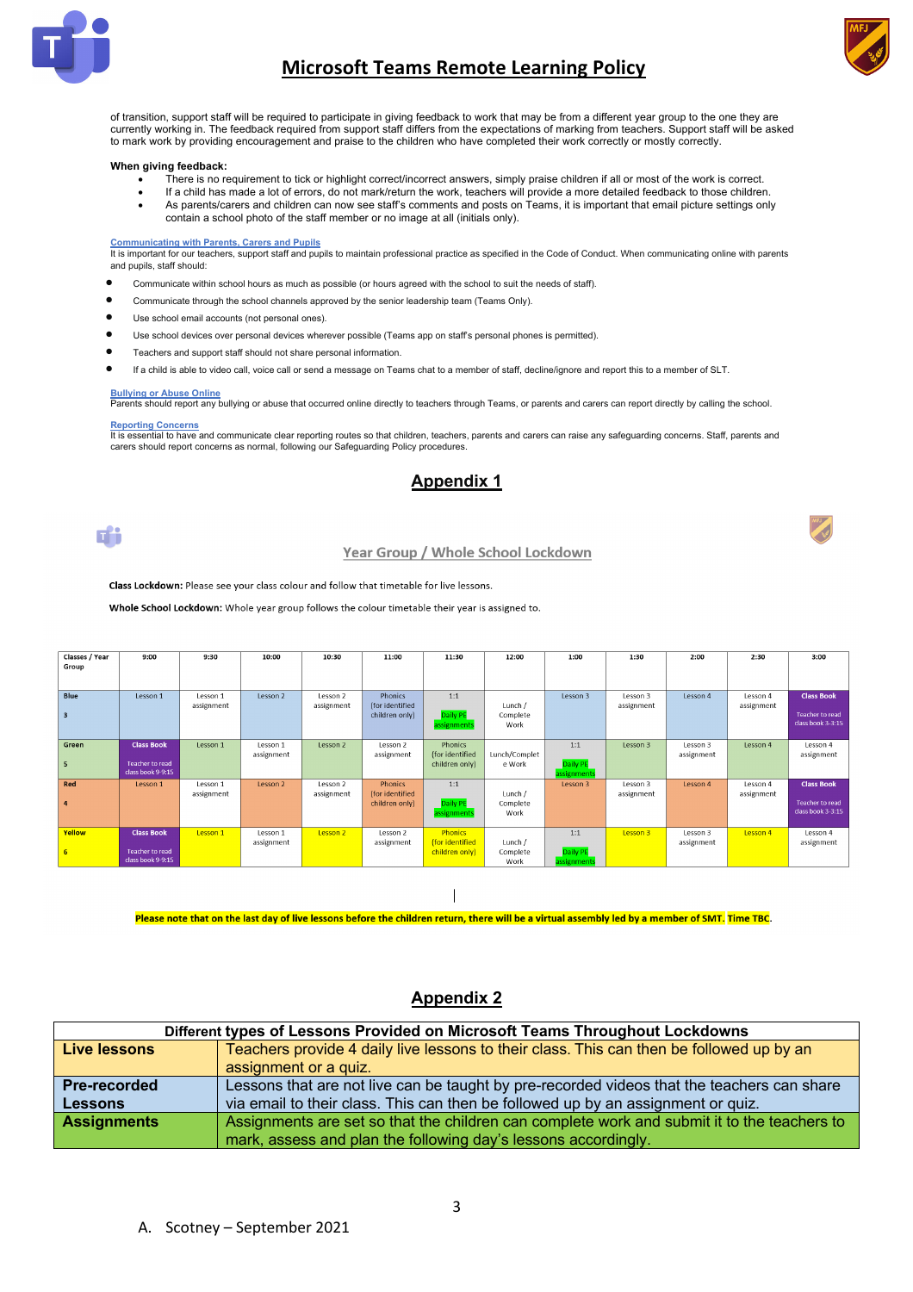

## **Microsoft Teams Remote Learning Policy**



of transition, support staff will be required to participate in giving feedback to work that may be from a different year group to the one they are currently working in. The feedback required from support staff differs from the expectations of marking from teachers. Support staff will be asked to mark work by providing encouragement and praise to the children who have completed their work correctly or mostly correctly.

### **When giving feedback:**

- There is no requirement to tick or highlight correct/incorrect answers, simply praise children if all or most of the work is correct.
- If a child has made a lot of errors, do not mark/return the work, teachers will provide a more detailed feedback to those children.
- As parents/carers and children can now see staff's comments and posts on Teams, it is important that email picture settings only contain a school photo of the staff member or no image at all (initials only).

#### **Communicating with Parents, Carers and Pupils**

It is important for our teachers, support staff and pupils to maintain professional practice as specified in the Code of Conduct. When communicating online with parents and pupils, staff should:

- Communicate within school hours as much as possible (or hours agreed with the school to suit the needs of staff).
- Communicate through the school channels approved by the senior leadership team (Teams Only).
- Use school email accounts (not personal ones).
- Use school devices over personal devices wherever possible (Teams app on staff's personal phones is permitted).
- Teachers and support staff should not share personal information.

• If a child is able to video call, voice call or send a message on Teams chat to a member of staff, decline/ignore and report this to a member of SLT.

### **Bullying or Abuse Online**

Parents should report any bullying or abuse that occurred online directly to teachers through Teams, or parents and carers can report directly by calling the school.

### **Reporting Concerns**

It is essential to have and communicate clear reporting routes so that children, teachers, parents and carers can raise any safeguarding concerns. Staff, parents and carers should report concerns as normal, following our Safeguarding Policy procedures.

### **Appendix 1**

n<sup>e</sup>i

### Year Group / Whole School Lockdown

Class Lockdown: Please see your class colour and follow that timetable for live lessons.

Whole School Lockdown: Whole year group follows the colour timetable their year is assigned to.

| Classes / Year          | 9:00                   | 9:30       | 10:00               | 10:30      | 11:00           | 11:30           | 12:00         | 1:00        | 1:30       | 2:00       | 2:30       | 3:00                   |
|-------------------------|------------------------|------------|---------------------|------------|-----------------|-----------------|---------------|-------------|------------|------------|------------|------------------------|
| Group                   |                        |            |                     |            |                 |                 |               |             |            |            |            |                        |
|                         |                        |            |                     |            |                 |                 |               |             |            |            |            |                        |
|                         |                        |            |                     |            |                 |                 |               |             |            |            |            |                        |
|                         |                        |            |                     |            |                 |                 |               |             |            |            |            |                        |
| <b>Blue</b>             | Lesson 1               | Lesson 1   | Lesson 2            | Lesson 2   | Phonics         | 1:1             |               | Lesson 3    | Lesson 3   | Lesson 4   | Lesson 4   | <b>Class Book</b>      |
|                         |                        | assignment |                     | assignment | (for identified |                 | Lunch /       |             | assignment |            | assignment |                        |
| $\overline{\mathbf{3}}$ |                        |            |                     |            | children only)  | Daily PE        | Complete      |             |            |            |            | <b>Teacher to read</b> |
|                         |                        |            |                     |            |                 |                 |               |             |            |            |            | class book 3-3:15      |
|                         |                        |            |                     |            |                 | assignments     | Work          |             |            |            |            |                        |
|                         |                        |            |                     |            |                 |                 |               |             |            |            |            |                        |
| Green                   | <b>Class Book</b>      | Lesson 1   | Lesson 1            | Lesson 2   | Lesson 2        | Phonics         |               | 1:1         | Lesson 3   | Lesson 3   | Lesson 4   | Lesson 4               |
|                         |                        |            | assignment          |            | assignment      | (for identified | Lunch/Complet |             |            | assignment |            | assignment             |
|                         |                        |            |                     |            |                 |                 |               |             |            |            |            |                        |
| 5                       | <b>Teacher to read</b> |            |                     |            |                 | children only)  | e Work        | Daily PE    |            |            |            |                        |
|                         | class book 9-9:15      |            |                     |            |                 |                 |               | assignments |            |            |            |                        |
| Red                     | Lesson 1               | Lesson 1   | Lesson <sub>2</sub> | Lesson 2   | <b>Phonics</b>  | 1:1             |               | Lesson 3    | Lesson 3   | Lesson 4   | Lesson 4   | <b>Class Book</b>      |
|                         |                        | assignment |                     | assignment | (for identified |                 | Lunch /       |             | assignment |            | assignment |                        |
|                         |                        |            |                     |            |                 | Daily PE        |               |             |            |            |            | <b>Teacher to read</b> |
| $\overline{4}$          |                        |            |                     |            | children only)  |                 | Complete      |             |            |            |            |                        |
|                         |                        |            |                     |            |                 | assignments     | Work          |             |            |            |            | class book 3-3:15      |
|                         |                        |            |                     |            |                 |                 |               |             |            |            |            |                        |
| Yellow                  | <b>Class Book</b>      | Lesson 1   | Lesson 1            | Lesson 2   | Lesson 2        | <b>Phonics</b>  |               | 1:1         | Lesson 3   | Lesson 3   | Lesson 4   | Lesson 4               |
|                         |                        |            | assignment          |            | assignment      | for identified  | Lunch /       |             |            | assignment |            | assignment             |
|                         | <b>Teacher to read</b> |            |                     |            |                 |                 |               |             |            |            |            |                        |
| 6                       |                        |            |                     |            |                 | children only)  | Complete      | Daily PE    |            |            |            |                        |
|                         | class book 9-9:15      |            |                     |            |                 |                 | Work          | assignment  |            |            |            |                        |
|                         |                        |            |                     |            |                 |                 |               |             |            |            |            |                        |

Please note that on the last day of live lessons before the children return, there will be a virtual assembly led by a member of SMT. Time TBC.

### **Appendix 2**

| Different types of Lessons Provided on Microsoft Teams Throughout Lockdowns |                                                                                             |  |  |  |  |  |  |  |  |
|-----------------------------------------------------------------------------|---------------------------------------------------------------------------------------------|--|--|--|--|--|--|--|--|
| Live lessons                                                                | Teachers provide 4 daily live lessons to their class. This can then be followed up by an    |  |  |  |  |  |  |  |  |
|                                                                             | assignment or a quiz.                                                                       |  |  |  |  |  |  |  |  |
| <b>Pre-recorded</b>                                                         | Lessons that are not live can be taught by pre-recorded videos that the teachers can share  |  |  |  |  |  |  |  |  |
| <b>Lessons</b>                                                              | via email to their class. This can then be followed up by an assignment or quiz.            |  |  |  |  |  |  |  |  |
| <b>Assignments</b>                                                          | Assignments are set so that the children can complete work and submit it to the teachers to |  |  |  |  |  |  |  |  |
|                                                                             | mark, assess and plan the following day's lessons accordingly.                              |  |  |  |  |  |  |  |  |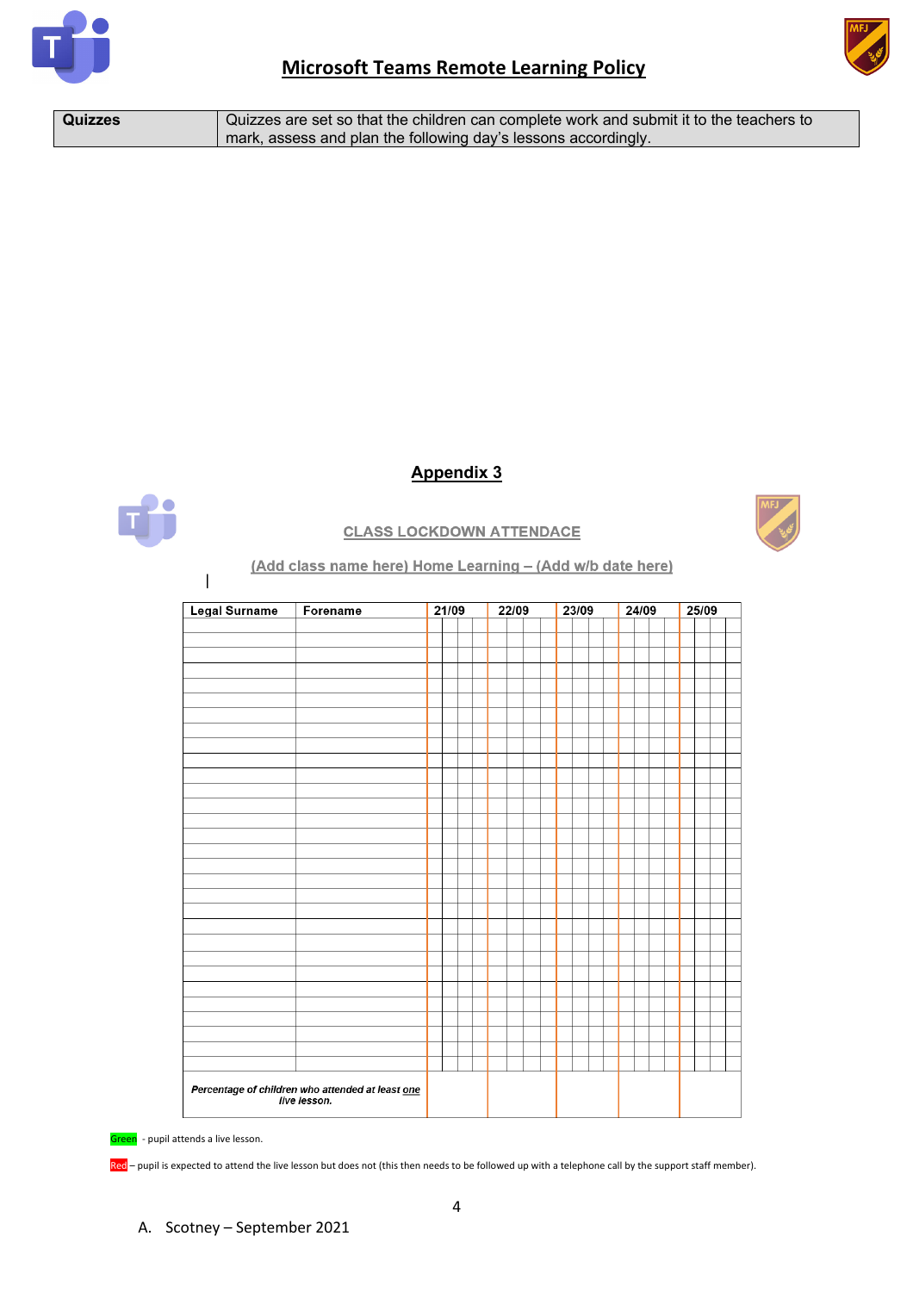



| <b>Quizzes</b> | Quizzes are set so that the children can complete work and submit it to the teachers to |
|----------------|-----------------------------------------------------------------------------------------|
|                | mark, assess and plan the following day's lessons accordingly.                          |

## **Appendix 3**



## **CLASS LOCKDOWN ATTENDACE**

### (Add class name here) Home Learning - (Add w/b date here)

| Legal Surname                                                    | Forename | 21/09 |  | 22/09 |  | 23/09 |  | 24/09 |  | 25/09 |  |
|------------------------------------------------------------------|----------|-------|--|-------|--|-------|--|-------|--|-------|--|
|                                                                  |          |       |  |       |  |       |  |       |  |       |  |
|                                                                  |          |       |  |       |  |       |  |       |  |       |  |
|                                                                  |          |       |  |       |  |       |  |       |  |       |  |
|                                                                  |          |       |  |       |  |       |  |       |  |       |  |
|                                                                  |          |       |  |       |  |       |  |       |  |       |  |
|                                                                  |          |       |  |       |  |       |  |       |  |       |  |
|                                                                  |          |       |  |       |  |       |  |       |  |       |  |
|                                                                  |          |       |  |       |  |       |  |       |  |       |  |
|                                                                  |          |       |  |       |  |       |  |       |  |       |  |
|                                                                  |          |       |  |       |  |       |  |       |  |       |  |
|                                                                  |          |       |  |       |  |       |  |       |  |       |  |
|                                                                  |          |       |  |       |  |       |  |       |  |       |  |
|                                                                  |          |       |  |       |  |       |  |       |  |       |  |
|                                                                  |          |       |  |       |  |       |  |       |  |       |  |
|                                                                  |          |       |  |       |  |       |  |       |  |       |  |
|                                                                  |          |       |  |       |  |       |  |       |  |       |  |
|                                                                  |          |       |  |       |  |       |  |       |  |       |  |
|                                                                  |          |       |  |       |  |       |  |       |  |       |  |
|                                                                  |          |       |  |       |  |       |  |       |  |       |  |
|                                                                  |          |       |  |       |  |       |  |       |  |       |  |
|                                                                  |          |       |  |       |  |       |  |       |  |       |  |
|                                                                  |          |       |  |       |  |       |  |       |  |       |  |
|                                                                  |          |       |  |       |  |       |  |       |  |       |  |
|                                                                  |          |       |  |       |  |       |  |       |  |       |  |
|                                                                  |          |       |  |       |  |       |  |       |  |       |  |
|                                                                  |          |       |  |       |  |       |  |       |  |       |  |
|                                                                  |          |       |  |       |  |       |  |       |  |       |  |
|                                                                  |          |       |  |       |  |       |  |       |  |       |  |
|                                                                  |          |       |  |       |  |       |  |       |  |       |  |
|                                                                  |          |       |  |       |  |       |  |       |  |       |  |
|                                                                  |          |       |  |       |  |       |  |       |  |       |  |
| Percentage of children who attended at least one<br>live lesson. |          |       |  |       |  |       |  |       |  |       |  |
|                                                                  |          |       |  |       |  |       |  |       |  |       |  |

Green - pupil attends a live lesson.

 $\overline{1}$ 

Red – pupil is expected to attend the live lesson but does not (this then needs to be followed up with a telephone call by the support staff member).